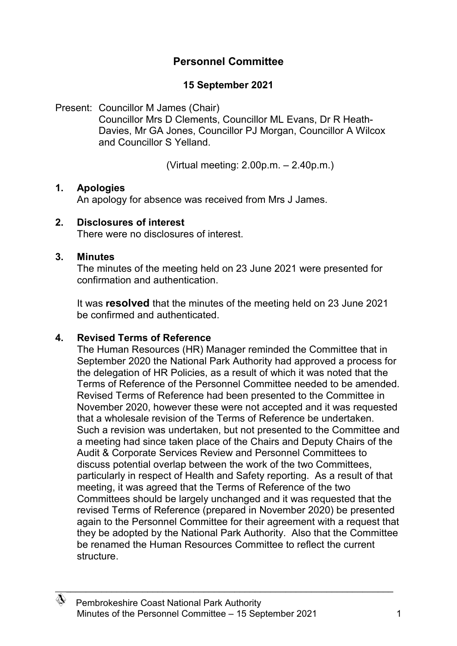# **Personnel Committee**

# **15 September 2021**

Present: Councillor M James (Chair) Councillor Mrs D Clements, Councillor ML Evans, Dr R Heath-Davies, Mr GA Jones, Councillor PJ Morgan, Councillor A Wilcox and Councillor S Yelland.

(Virtual meeting: 2.00p.m. – 2.40p.m.)

### **1. Apologies**

An apology for absence was received from Mrs J James.

### **2. Disclosures of interest**

There were no disclosures of interest.

#### **3. Minutes**

The minutes of the meeting held on 23 June 2021 were presented for confirmation and authentication.

It was **resolved** that the minutes of the meeting held on 23 June 2021 be confirmed and authenticated.

### **4. Revised Terms of Reference**

The Human Resources (HR) Manager reminded the Committee that in September 2020 the National Park Authority had approved a process for the delegation of HR Policies, as a result of which it was noted that the Terms of Reference of the Personnel Committee needed to be amended. Revised Terms of Reference had been presented to the Committee in November 2020, however these were not accepted and it was requested that a wholesale revision of the Terms of Reference be undertaken. Such a revision was undertaken, but not presented to the Committee and a meeting had since taken place of the Chairs and Deputy Chairs of the Audit & Corporate Services Review and Personnel Committees to discuss potential overlap between the work of the two Committees, particularly in respect of Health and Safety reporting. As a result of that meeting, it was agreed that the Terms of Reference of the two Committees should be largely unchanged and it was requested that the revised Terms of Reference (prepared in November 2020) be presented again to the Personnel Committee for their agreement with a request that they be adopted by the National Park Authority. Also that the Committee be renamed the Human Resources Committee to reflect the current structure.

\_\_\_\_\_\_\_\_\_\_\_\_\_\_\_\_\_\_\_\_\_\_\_\_\_\_\_\_\_\_\_\_\_\_\_\_\_\_\_\_\_\_\_\_\_\_\_\_\_\_\_\_\_\_\_\_\_\_\_\_\_\_\_\_\_\_